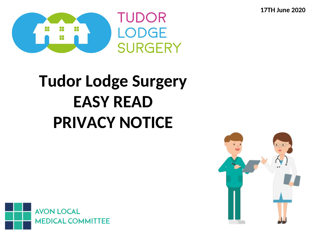**17TH June 2020**



# **Tudor Lodge Surgery EASY READ PRIVACY NOTICE**



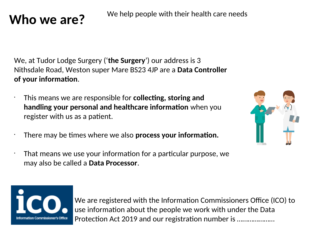## We help people with their health care needs **Who we are?**

We, at Tudor Lodge Surgery ('**the Surgery**') our address is 3 Nithsdale Road, Weston super Mare BS23 4JP are a **Data Controller of your informaton**.

- This means we are responsible for **collectng, storing and handling your personal and healthcare information** when you register with us as a patient.
- There may be tmes where we also **process your informaton.**
- That means we use your information for a particular purpose, we may also be called a **Data Processor**.



We are registered with the Information Commissioners Office (ICO) to use information about the people we work with under the Data Protection Act 2019 and our registration number is .....................

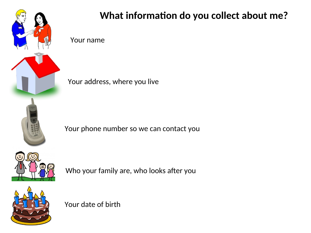

### What information do you collect about me?

Your name

Your address, where you live

Your phone number so we can contact you



Who your family are, who looks after you



Your date of birth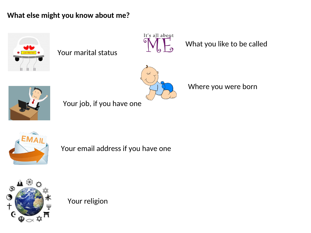#### **What else might you know about me?**



Your marital status



What you like to be called



Your job, if you have one

Where you were born



Your email address if you have one



Your religion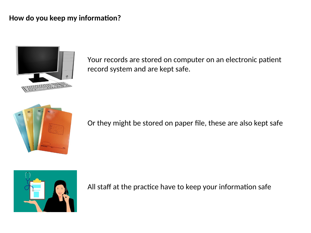#### How do you keep my information?



Your records are stored on computer on an electronic patient record system and are kept safe.



Or they might be stored on paper fle, these are also kept safe



All staff at the practice have to keep your information safe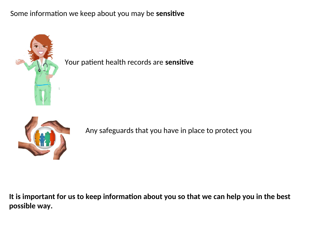#### Some information we keep about you may be **sensitive**



Your patient health records are sensitive



Any safeguards that you have in place to protect you

It is important for us to keep information about you so that we can help you in the best **possible way.**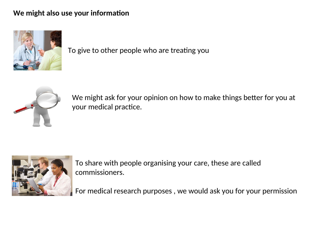#### We might also use your information



To give to other people who are treatng you



We might ask for your opinion on how to make things better for you at your medical practice.



To share with people organising your care, these are called commissioners.

For medical research purposes , we would ask you for your permission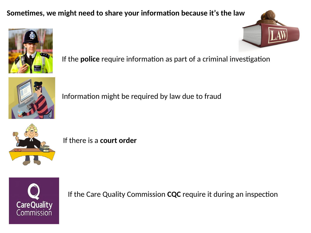#### **Sometmes, we might need to share your informaton because it's the law**



If the **police** require information as part of a criminal investigation



Information might be required by law due to fraud



If there is a **court order**



If the Care Quality Commission **CQC** require it during an inspection

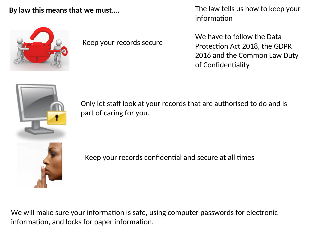#### **By law this means that we must….**



Keep your records secure

- The law tells us how to keep your information
- We have to follow the Data Protection Act 2018, the GDPR 2016 and the Common Law Duty of Confidentiality



Only let staff look at your records that are authorised to do and is part of caring for you.

Keep your records confidential and secure at all times

We will make sure your information is safe, using computer passwords for electronic information, and locks for paper information.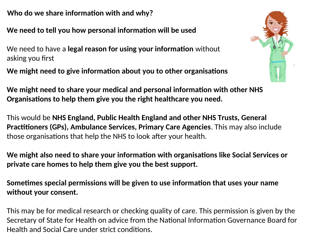**Who do we share information with and why?** 

We need to tell you how personal information will be used

We need to have a **legal reason for using your information** without asking you first

We might need to give information about you to other organisations

We might need to share your medical and personal information with other NHS **Organisations to help them give you the right healthcare you need.** 

This would be **NHS England, Public Health England and other NHS Trusts, General Practitioners (GPs), Ambulance Services, Primary Care Agencies**. This may also include those organisations that help the NHS to look after your health.

**We might also need to share your informaton with organisatons like Social Services or private care homes to help them give you the best support.** 

**Sometmes special permissions will be given to use informaton that uses your name without your consent.** 

This may be for medical research or checking quality of care. This permission is given by the Secretary of State for Health on advice from the National Information Governance Board for Health and Social Care under strict conditons.

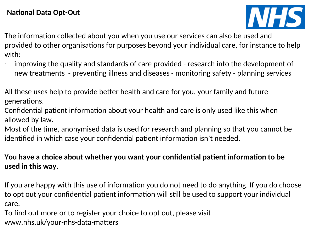

The information collected about you when you use our services can also be used and provided to other organisatons for purposes beyond your individual care, for instance to help with:

- improving the quality and standards of care provided - research into the development of new treatments - preventing illness and diseases - monitoring safety - planning services
- All these uses help to provide beter health and care for you, your family and future generatons.
- Confidential patient information about your health and care is only used like this when allowed by law.
- Most of the time, anonymised data is used for research and planning so that you cannot be identified in which case your confidential patient information isn't needed.

#### **You have a choice about whether you want your confdental patent informaton to be used in this way.**

If you are happy with this use of information you do not need to do anything. If you do choose to opt out your confidential patient information will still be used to support your individual care.

To find out more or to register your choice to opt out, please visit [www.nhs.uk/your-nhs-data-maters](http://www.nhs.uk/your-nhs-data-matters)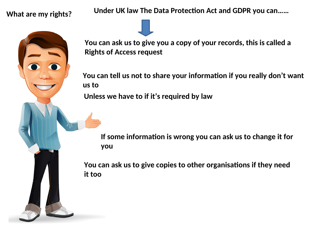**What are my rights?**

**us to it too**

Under UK law The Data Protection Act and GDPR you can......

**You can ask us to give you a copy of your records, this is called a Rights of Access request**

**You can tell us not to share your informaton if you really don't want**

**Unless we have to if it's required by law**

**If some informaton is wrong you can ask us to change it for you**

**You can ask us to give copies to other organisatons if they need**